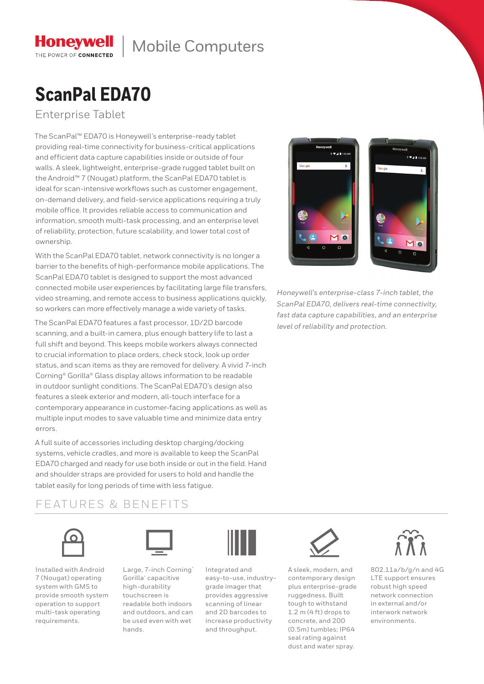# **ScanPal EDA70**

Enterprise Tablet

The ScanPal™ EDA70 is Honeywell's enterprise-ready tablet providing real-time connectivity for business-critical applications and efficient data capture capabilities inside or outside of four walls. A sleek, lightweight, enterprise-grade rugged tablet built on the Android™ 7 (Nougat) platform, the ScanPal EDA70 tablet is ideal for scan-intensive workflows such as customer engagement, on-demand delivery, and field-service applications requiring a truly mobile office. It provides reliable access to communication and information, smooth multi-task processing, and an enterprise level of reliability, protection, future scalability, and lower total cost of ownership.

With the ScanPal EDA70 tablet, network connectivity is no longer a barrier to the benefits of high-performance mobile applications. The ScanPal EDA70 tablet is designed to support the most advanced connected mobile user experiences by facilitating large file transfers, video streaming, and remote access to business applications quickly, so workers can more effectively manage a wide variety of tasks.

The ScanPal EDA70 features a fast processor, 1D/2D barcode scanning, and a built-in camera, plus enough battery life to last a full shift and beyond. This keeps mobile workers always connected to crucial information to place orders, check stock, look up order status, and scan items as they are removed for delivery. A vivid 7-inch Corning® Gorilla® Glass display allows information to be readable in outdoor sunlight conditions. The ScanPal EDA70's design also features a sleek exterior and modern, all-touch interface for a contemporary appearance in customer-facing applications as well as multiple input modes to save valuable time and minimize data entry errors.

A full suite of accessories including desktop charging/docking systems, vehicle cradles, and more is available to keep the ScanPal EDA70 charged and ready for use both inside or out in the field. Hand and shoulder straps are provided for users to hold and handle the tablet easily for long periods of time with less fatigue.

### FEATURES & BENEFITS



Installed with Android 7 (Nougat) operating system with GMS to provide smooth system operation to support multi-task operating requirements.



Large, 7-inch Corning® Gorilla® capacitive high-durability touchscreen is readable both indoors and outdoors, and can be used even with wet hands.



Integrated and easy-to-use, industrygrade imager that provides aggressive scanning of linear and 2D barcodes to increase productivity and throughput.



A sleek, modern, and contemporary design plus enterprise-grade ruggedness. Built tough to withstand 1.2 m (4 ft) drops to concrete, and 200 (0.5m) tumbles; IP64 seal rating against dust and water spray.



802.11a/b/g/n and 4G LTE support ensures robust high speed network connection in external and/or interwork network environments.



*Honeywell's enterprise-class 7-inch tablet, the ScanPal EDA70, delivers real-time connectivity, fast data capture capabilities, and an enterprise level of reliability and protection.*